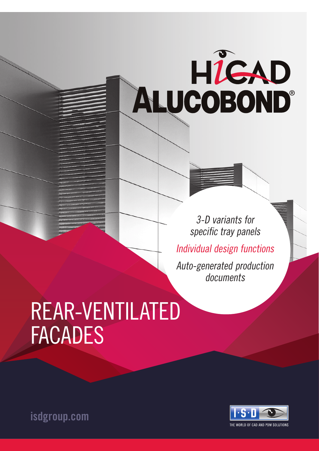# HIGAD<br>ALUCOBOND®

3-D variants for specific tray panels Individual design functions Auto-generated production documents

# REAR-VENTILATED FACADES



isdgroup.com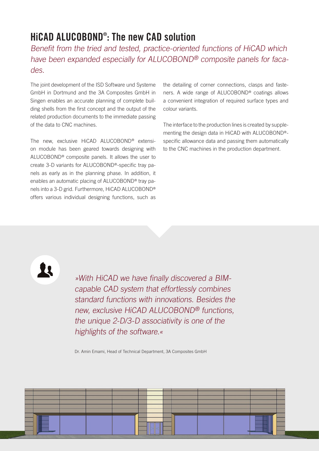# HiCAD ALUCOBOND® : The new CAD solution

Benefit from the tried and tested, practice-oriented functions of HiCAD which have been expanded especially for ALUCOBOND® composite panels for facades.

The joint development of the ISD Software und Systeme GmbH in Dortmund and the 3A Composites GmbH in Singen enables an accurate planning of complete building shells from the first concept and the output of the related production documents to the immediate passing of the data to CNC machines.

The new, exclusive HiCAD ALUCOBOND® extension module has been geared towards designing with ALUCOBOND® composite panels. It allows the user to create 3-D variants for ALUCOBOND®-specific tray panels as early as in the planning phase. In addition, it enables an automatic placing of ALUCOBOND® tray panels into a 3-D grid. Furthermore, HiCAD ALUCOBOND® offers various individual designing functions, such as

the detailing of corner connections, clasps and fasteners. A wide range of ALUCOBOND® coatings allows a convenient integration of required surface types and colour variants.

The interface to the production lines is created by supplementing the design data in HiCAD with ALUCOBOND® specific allowance data and passing them automatically to the CNC machines in the production department.

11

»With HiCAD we have finally discovered a BIMcapable CAD system that effortlessly combines standard functions with innovations. Besides the new, exclusive HiCAD ALUCOBOND® functions, the unique 2-D/3-D associativity is one of the highlights of the software.«

Dr. Amin Emami, Head of Technical Department, 3A Composites GmbH

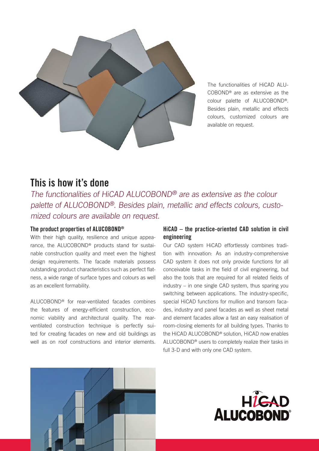

The functionalities of HiCAD ALU-COBOND® are as extensive as the colour palette of ALUCOBOND®. Besides plain, metallic and effects colours, customized colours are available on request.

### This is how it's done

The functionalities of HiCAD ALUCOBOND® are as extensive as the colour palette of ALUCOBOND®. Besides plain, metallic and effects colours, customized colours are available on request.

#### The product properties of ALUCOBOND®

With their high quality, resilience and unique appearance, the ALUCOBOND® products stand for sustainable construction quality and meet even the highest design requirements. The facade materials possess outstanding product characteristics such as perfect flatness, a wide range of surface types and colours as well as an excellent formability.

ALUCOBOND® for rear-ventilated facades combines the features of energy-efficient construction, economic viability and architectural quality. The rearventilated construction technique is perfectly suited for creating facades on new and old buildings as well as on roof constructions and interior elements.

#### HiCAD – the practice-oriented CAD solution in civil engineering

Our CAD system HiCAD effortlessly combines tradition with innovation: As an industry-comprehensive CAD system it does not only provide functions for all conceivable tasks in the field of civil engineering, but also the tools that are required for all related fields of industry – in one single CAD system, thus sparing you switching between applications. The industry-specific, special HiCAD functions for mullion and transom facades, industry and panel facades as well as sheet metal and element facades allow a fast an easy realisation of room-closing elements for all building types. Thanks to the HiCAD ALUCOBOND® solution, HiCAD now enables ALUCOBOND® users to completely realize their tasks in full 3-D and with only one CAD system.



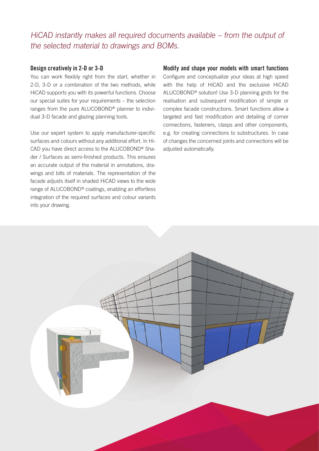HiCAD instantly makes all required documents available – from the output of the selected material to drawings and BOMs.

#### Design creatively in 2-D or 3-D

You can work flexibly right from the start, whether in 2-D, 3-D or a combination of the two methods, while HiCAD supports you with its powerful functions. Choose our special suites for your requirements – the selection ranges from the pure ALUCOBOND® planner to individual 3-D facade and glazing planning tools.

Use our expert system to apply manufacturer-specific surfaces and colours without any additional effort. In Hi-CAD you have direct access to the ALUCOBOND® Shader / Surfaces as semi-finished products. This ensures an accurate output of the material in annotations, drawings and bills of materials. The representation of the facade adjusts itself in shaded HiCAD views to the wide range of ALUCOBOND® coatings, enabling an effortless integration of the required surfaces and colour variants into your drawing.

#### Modify and shape your models with smart functions

Configure and conceptualize your ideas at high speed with the help of HiCAD and the exclusive HiCAD ALUCOBOND® solution! Use 3-D planning grids for the realisation and subsequent modification of simple or complex facade constructions. Smart functions allow a targeted and fast modification and detailing of corner connections, fasteners, clasps and other components, e.g. for creating connections to substructures. In case of changes the concerned joints and connections will be adjusted automatically.

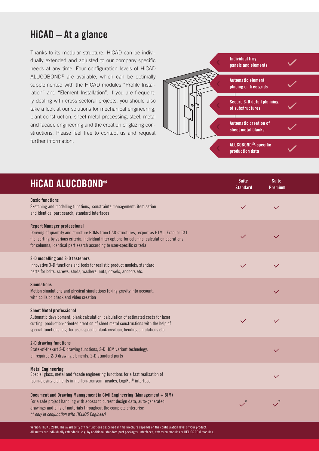# HiCAD – At a glance

Thanks to its modular structure, HiCAD can be individually extended and adjusted to our company-specific needs at any time. Four configuration levels of HiCAD ALUCOBOND® are available, which can be optimally supplemented with the HiCAD modules "Profile Installation" and "Element Installation". If you are frequently dealing with cross-sectoral projects, you should also take a look at our solutions for mechanical engineering, plant construction, sheet metal processing, steel, metal and facade engineering and the creation of glazing constructions. Please feel free to contact us and request further information.



| <b>HICAD ALUCOBOND®</b>                                                                                                                                                                                                                                                                                       | <b>Suite</b><br><b>Standard</b> | <b>Suite</b><br><b>Premium</b> |  |
|---------------------------------------------------------------------------------------------------------------------------------------------------------------------------------------------------------------------------------------------------------------------------------------------------------------|---------------------------------|--------------------------------|--|
| <b>Basic functions</b><br>Sketching and modelling functions, constraints management, itemisation<br>and identical part search, standard interfaces                                                                                                                                                            | $\checkmark$                    | $\checkmark$                   |  |
| <b>Report Manager professional</b><br>Deriving of quantity and structure BOMs from CAD structures, export as HTML, Excel or TXT<br>file, sorting by various criteria, individual filter options for columns, calculation operations<br>for columns, identical part search according to user-specific criteria |                                 | $\checkmark$                   |  |
| 3-D modelling and 3-D fasteners<br>Innovative 3-D functions and tools for realistic product models; standard<br>parts for bolts, screws, studs, washers, nuts, dowels, anchors etc.                                                                                                                           | $\checkmark$                    | $\checkmark$                   |  |
| <b>Simulations</b><br>Motion simulations and physical simulations taking gravity into account,<br>with collision check and video creation                                                                                                                                                                     |                                 | $\checkmark$                   |  |
| <b>Sheet Metal professional</b><br>Automatic development, blank calculation, calculation of estimated costs for laser<br>cutting, production-oriented creation of sheet metal constructions with the help of<br>special functions, e.g. for user-specific blank creation, bending simulations etc.            | $\checkmark$                    | $\checkmark$                   |  |
| 2-D drawing functions<br>State-of-the-art 2-D drawing functions, 2-D HCM variant technology,<br>all required 2-D drawing elements, 2-D standard parts                                                                                                                                                         |                                 | $\checkmark$                   |  |
| <b>Metal Engineering</b><br>Special glass, metal and facade engineering functions for a fast realisation of<br>room-closing elements in mullion-transom facades, LogiKal® interface                                                                                                                           |                                 | $\checkmark$                   |  |
| Document and Drawing Management in Civil Engineering (Management + BIM)<br>For a safe project handling with access to current design data, auto-generated<br>drawings and bills of materials throughout the complete enterprise<br>(* only in conjunction with HELiOS Engineer)                               |                                 |                                |  |

Version: HiCAD 2018. The availability of the functions described in this brochure depends on the configuration level of your product. All suites are individually extendable, e.g. by additional standard part packages, interfaces, extension modules or HELiOS PDM modules.